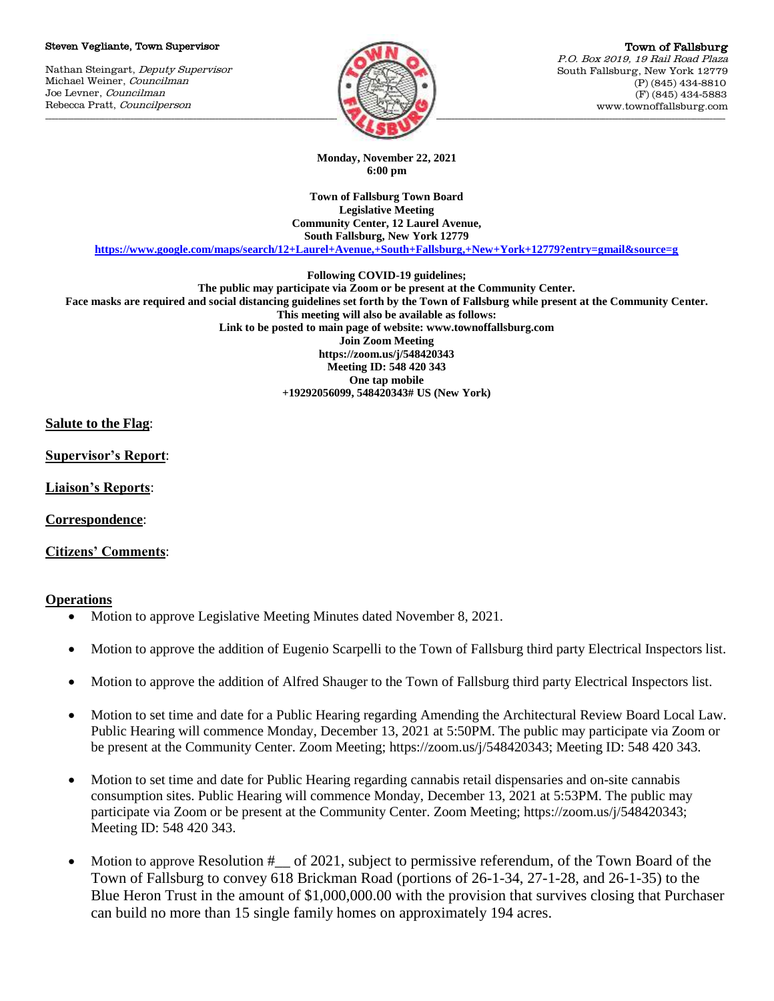#### Steven Vegliante, Town Supervisor

Nathan Steingart, Deputy Supervisor Michael Weiner, Councilman Joe Levner, Councilman Rebecca Pratt, Councilperson



Town of Fallsburg P.O. Box 2019, 19 Rail Road Plaza South Fallsburg, New York 12779 (P) (845) 434-8810 (F) (845) 434-5883 www.townoffallsburg.com

**Monday, November 22, 2021 6:00 pm**

**Town of Fallsburg Town Board Legislative Meeting Community Center, 12 Laurel Avenue, South Fallsburg, New York 12779**

**<https://www.google.com/maps/search/12+Laurel+Avenue,+South+Fallsburg,+New+York+12779?entry=gmail&source=g>**

**Following COVID-19 guidelines;**

**The public may participate via Zoom or be present at the Community Center. Face masks are required and social distancing guidelines set forth by the Town of Fallsburg while present at the Community Center. This meeting will also be available as follows: Link to be posted to main page of website: www.townoffallsburg.com Join Zoom Meeting https://zoom.us/j/548420343 Meeting ID: 548 420 343 One tap mobile +19292056099, 548420343# US (New York)**

**Salute to the Flag**:

**Supervisor's Report**:

**Liaison's Reports**:

**Correspondence**:

**Citizens' Comments**:

### **Operations**

- Motion to approve Legislative Meeting Minutes dated November 8, 2021.
- Motion to approve the addition of Eugenio Scarpelli to the Town of Fallsburg third party Electrical Inspectors list.
- Motion to approve the addition of Alfred Shauger to the Town of Fallsburg third party Electrical Inspectors list.
- Motion to set time and date for a Public Hearing regarding Amending the Architectural Review Board Local Law. Public Hearing will commence Monday, December 13, 2021 at 5:50PM. The public may participate via Zoom or be present at the Community Center. Zoom Meeting; https://zoom.us/j/548420343; Meeting ID: 548 420 343.
- Motion to set time and date for Public Hearing regarding cannabis retail dispensaries and on-site cannabis consumption sites. Public Hearing will commence Monday, December 13, 2021 at 5:53PM. The public may participate via Zoom or be present at the Community Center. Zoom Meeting; https://zoom.us/j/548420343; Meeting ID: 548 420 343.
- Motion to approve Resolution #\_\_ of 2021, subject to permissive referendum, of the Town Board of the Town of Fallsburg to convey 618 Brickman Road (portions of 26-1-34, 27-1-28, and 26-1-35) to the Blue Heron Trust in the amount of \$1,000,000.00 with the provision that survives closing that Purchaser can build no more than 15 single family homes on approximately 194 acres.